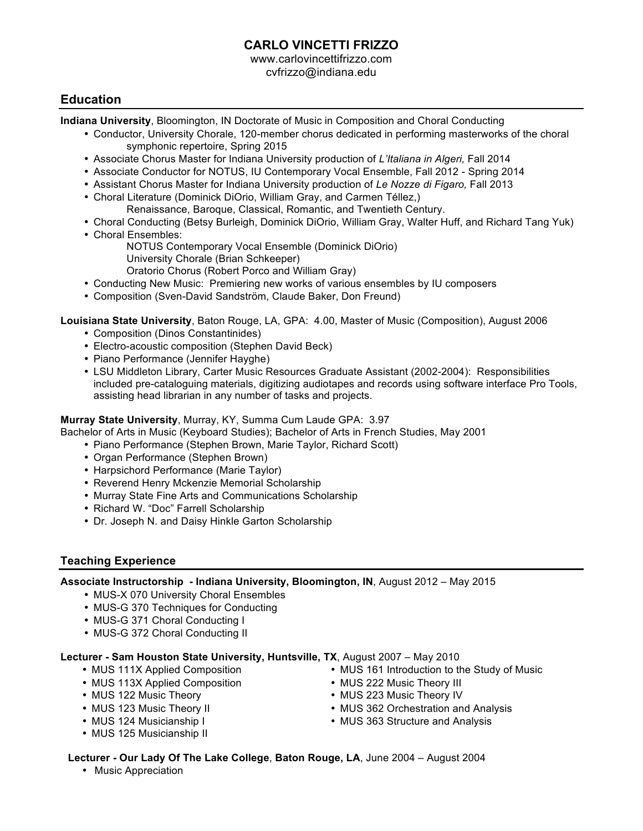# **CARLO VINCETTI FRIZZO**

www.carlovincettifrizzo.com cvfrizzo@indiana.edu

### **Education**

**Indiana University**, Bloomington, IN Doctorate of Music in Composition and Choral Conducting

- Conductor, University Chorale, 120-member chorus dedicated in performing masterworks of the choral symphonic repertoire, Spring 2015
- Associate Chorus Master for Indiana University production of *L'Italiana in Algeri,* Fall 2014
- Associate Conductor for NOTUS, IU Contemporary Vocal Ensemble, Fall 2012 Spring 2014
- Assistant Chorus Master for Indiana University production of *Le Nozze di Figaro,* Fall 2013
- Choral Literature (Dominick DiOrio, William Gray, and Carmen Téllez,) Renaissance, Baroque, Classical, Romantic, and Twentieth Century.
- Choral Conducting (Betsy Burleigh, Dominick DiOrio, William Gray, Walter Huff, and Richard Tang Yuk)
- Choral Ensembles:
	- NOTUS Contemporary Vocal Ensemble (Dominick DiOrio) University Chorale (Brian Schkeeper)
	- Oratorio Chorus (Robert Porco and William Gray)
- Conducting New Music: Premiering new works of various ensembles by IU composers
- Composition (Sven-David Sandström, Claude Baker, Don Freund)

**Louisiana State University**, Baton Rouge, LA, GPA: 4.00, Master of Music (Composition), August 2006

- Composition (Dinos Constantinides)
- Electro-acoustic composition (Stephen David Beck)
- Piano Performance (Jennifer Hayghe)
- LSU Middleton Library, Carter Music Resources Graduate Assistant (2002-2004):Responsibilities included pre-cataloguing materials, digitizing audiotapes and records using software interface Pro Tools, assisting head librarian in any number of tasks and projects.

#### **Murray State University**, Murray, KY, Summa Cum Laude GPA: 3.97

Bachelor of Arts in Music (Keyboard Studies); Bachelor of Arts in French Studies, May 2001

- Piano Performance (Stephen Brown, Marie Taylor, Richard Scott)
	- Organ Performance (Stephen Brown)
	- Harpsichord Performance (Marie Taylor)
- Reverend Henry Mckenzie Memorial Scholarship
- Murray State Fine Arts and Communications Scholarship
- Richard W. "Doc" Farrell Scholarship
- Dr. Joseph N. and Daisy Hinkle Garton Scholarship

#### **Teaching Experience**

**Associate Instructorship - Indiana University, Bloomington, IN**, August 2012 – May 2015

- MUS-X 070 University Choral Ensembles
- MUS-G 370 Techniques for Conducting
- MUS-G 371 Choral Conducting I
- MUS-G 372 Choral Conducting II

#### **Lecturer - Sam Houston State University, Huntsville, TX**, August 2007 – May 2010

- MUS 111X Applied Composition
- MUS 113X Applied Composition
- MUS 122 Music Theory
- MUS 123 Music Theory II
- MUS 124 Musicianship I
- MUS 125 Musicianship II
- MUS 161 Introduction to the Study of Music
- MUS 222 Music Theory III
- MUS 223 Music Theory IV
- MUS 362 Orchestration and Analysis
- MUS 363 Structure and Analysis

#### **Lecturer - Our Lady Of The Lake College**, **Baton Rouge, LA**, June 2004 – August 2004

• Music Appreciation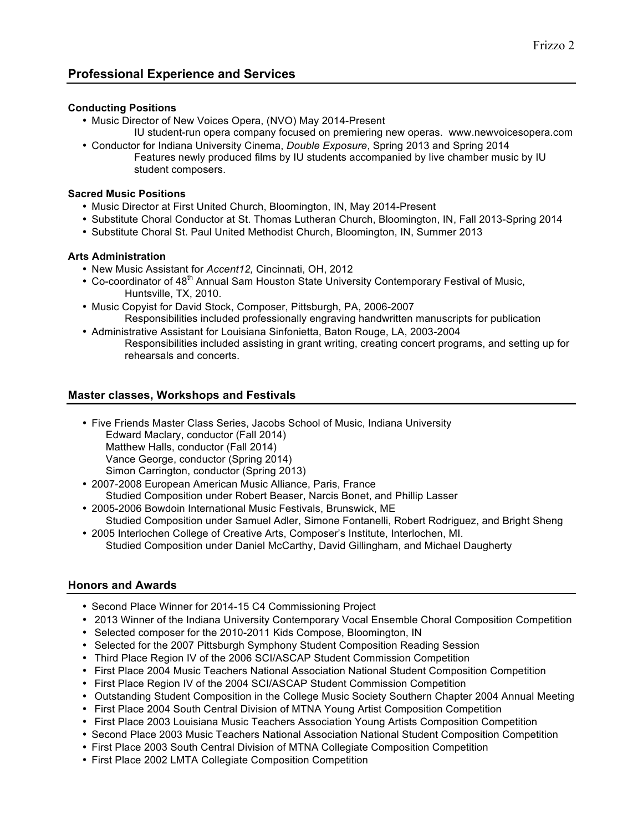## **Professional Experience and Services**

#### **Conducting Positions**

- Music Director of New Voices Opera, (NVO) May 2014-Present
- IU student-run opera company focused on premiering new operas. www.newvoicesopera.com • Conductor for Indiana University Cinema, *Double Exposure*, Spring 2013 and Spring 2014
	- Features newly produced films by IU students accompanied by live chamber music by IU student composers.

#### **Sacred Music Positions**

- Music Director at First United Church, Bloomington, IN, May 2014-Present
- Substitute Choral Conductor at St. Thomas Lutheran Church, Bloomington, IN, Fall 2013-Spring 2014
- Substitute Choral St. Paul United Methodist Church, Bloomington, IN, Summer 2013

#### **Arts Administration**

- New Music Assistant for *Accent12,* Cincinnati, OH, 2012
- Co-coordinator of 48<sup>th</sup> Annual Sam Houston State University Contemporary Festival of Music, Huntsville, TX, 2010.
- Music Copyist for David Stock, Composer, Pittsburgh, PA, 2006-2007 Responsibilities included professionally engraving handwritten manuscripts for publication
- Administrative Assistant for Louisiana Sinfonietta, Baton Rouge, LA, 2003-2004 Responsibilities included assisting in grant writing, creating concert programs, and setting up for rehearsals and concerts.

#### **Master classes, Workshops and Festivals**

- Five Friends Master Class Series, Jacobs School of Music, Indiana University Edward Maclary, conductor (Fall 2014) Matthew Halls, conductor (Fall 2014) Vance George, conductor (Spring 2014) Simon Carrington, conductor (Spring 2013)
- 2007-2008 European American Music Alliance, Paris, France Studied Composition under Robert Beaser, Narcis Bonet, and Phillip Lasser
- 2005-2006 Bowdoin International Music Festivals, Brunswick, ME Studied Composition under Samuel Adler, Simone Fontanelli, Robert Rodriguez, and Bright Sheng
- 2005 Interlochen College of Creative Arts, Composer's Institute, Interlochen, MI. Studied Composition under Daniel McCarthy, David Gillingham, and Michael Daugherty

#### **Honors and Awards**

- Second Place Winner for 2014-15 C4 Commissioning Project
- 2013 Winner of the Indiana University Contemporary Vocal Ensemble Choral Composition Competition
- Selected composer for the 2010-2011 Kids Compose, Bloomington, IN
- Selected for the 2007 Pittsburgh Symphony Student Composition Reading Session
- Third Place Region IV of the 2006 SCI/ASCAP Student Commission Competition
- First Place 2004 Music Teachers National Association National Student Composition Competition
- First Place Region IV of the 2004 SCI/ASCAP Student Commission Competition
- Outstanding Student Composition in the College Music Society Southern Chapter 2004 Annual Meeting
- First Place 2004 South Central Division of MTNA Young Artist Composition Competition
- First Place 2003 Louisiana Music Teachers Association Young Artists Composition Competition
- Second Place 2003 Music Teachers National Association National Student Composition Competition
- First Place 2003 South Central Division of MTNA Collegiate Composition Competition
- First Place 2002 LMTA Collegiate Composition Competition